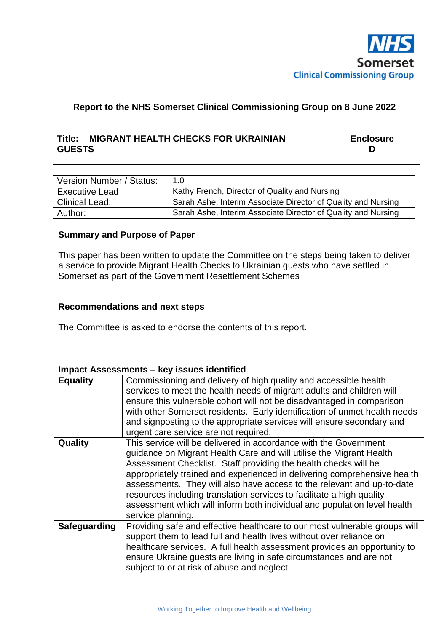

# **Report to the NHS Somerset Clinical Commissioning Group on 8 June 2022**

# **Title: MIGRANT HEALTH CHECKS FOR UKRAINIAN GUESTS**

**Enclosure D**

| Version Number / Status: | 1.0                                                           |
|--------------------------|---------------------------------------------------------------|
| <b>Executive Lead</b>    | Kathy French, Director of Quality and Nursing                 |
| <b>Clinical Lead:</b>    | Sarah Ashe, Interim Associate Director of Quality and Nursing |
| Author:                  | Sarah Ashe, Interim Associate Director of Quality and Nursing |

#### **Summary and Purpose of Paper**

This paper has been written to update the Committee on the steps being taken to deliver a service to provide Migrant Health Checks to Ukrainian guests who have settled in Somerset as part of the Government Resettlement Schemes

#### **Recommendations and next steps**

The Committee is asked to endorse the contents of this report.

| <b>Impact Assessments - key issues identified</b> |                                                                                                                                                                                                                                                                                                                                                                                                                                                                                                                                            |  |  |
|---------------------------------------------------|--------------------------------------------------------------------------------------------------------------------------------------------------------------------------------------------------------------------------------------------------------------------------------------------------------------------------------------------------------------------------------------------------------------------------------------------------------------------------------------------------------------------------------------------|--|--|
| <b>Equality</b>                                   | Commissioning and delivery of high quality and accessible health<br>services to meet the health needs of migrant adults and children will<br>ensure this vulnerable cohort will not be disadvantaged in comparison<br>with other Somerset residents. Early identification of unmet health needs<br>and signposting to the appropriate services will ensure secondary and<br>urgent care service are not required.                                                                                                                          |  |  |
| Quality                                           | This service will be delivered in accordance with the Government<br>guidance on Migrant Health Care and will utilise the Migrant Health<br>Assessment Checklist. Staff providing the health checks will be<br>appropriately trained and experienced in delivering comprehensive health<br>assessments. They will also have access to the relevant and up-to-date<br>resources including translation services to facilitate a high quality<br>assessment which will inform both individual and population level health<br>service planning. |  |  |
| <b>Safeguarding</b>                               | Providing safe and effective healthcare to our most vulnerable groups will<br>support them to lead full and health lives without over reliance on<br>healthcare services. A full health assessment provides an opportunity to<br>ensure Ukraine guests are living in safe circumstances and are not<br>subject to or at risk of abuse and neglect.                                                                                                                                                                                         |  |  |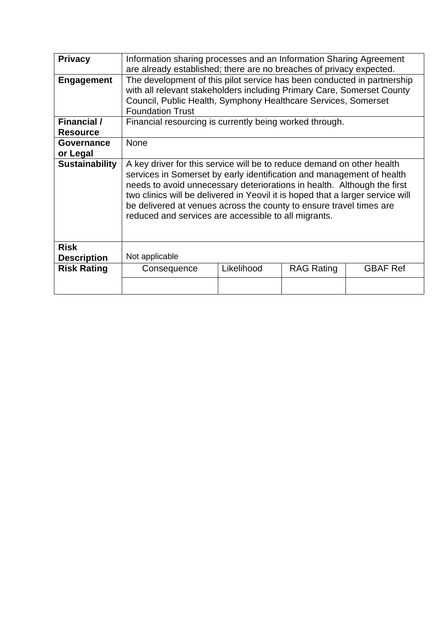| <b>Privacy</b>        | Information sharing processes and an Information Sharing Agreement<br>are already established; there are no breaches of privacy expected.                                                                                                                                                                                                                                                                                                   |            |                   |                 |  |  |
|-----------------------|---------------------------------------------------------------------------------------------------------------------------------------------------------------------------------------------------------------------------------------------------------------------------------------------------------------------------------------------------------------------------------------------------------------------------------------------|------------|-------------------|-----------------|--|--|
| <b>Engagement</b>     | The development of this pilot service has been conducted in partnership<br>with all relevant stakeholders including Primary Care, Somerset County<br>Council, Public Health, Symphony Healthcare Services, Somerset<br><b>Foundation Trust</b>                                                                                                                                                                                              |            |                   |                 |  |  |
| <b>Financial</b> /    | Financial resourcing is currently being worked through.                                                                                                                                                                                                                                                                                                                                                                                     |            |                   |                 |  |  |
| <b>Resource</b>       |                                                                                                                                                                                                                                                                                                                                                                                                                                             |            |                   |                 |  |  |
| <b>Governance</b>     | <b>None</b>                                                                                                                                                                                                                                                                                                                                                                                                                                 |            |                   |                 |  |  |
| or Legal              |                                                                                                                                                                                                                                                                                                                                                                                                                                             |            |                   |                 |  |  |
| <b>Sustainability</b> | A key driver for this service will be to reduce demand on other health<br>services in Somerset by early identification and management of health<br>needs to avoid unnecessary deteriorations in health. Although the first<br>two clinics will be delivered in Yeovil it is hoped that a larger service will<br>be delivered at venues across the county to ensure travel times are<br>reduced and services are accessible to all migrants. |            |                   |                 |  |  |
| <b>Risk</b>           |                                                                                                                                                                                                                                                                                                                                                                                                                                             |            |                   |                 |  |  |
| <b>Description</b>    | Not applicable                                                                                                                                                                                                                                                                                                                                                                                                                              |            |                   |                 |  |  |
| <b>Risk Rating</b>    | Consequence                                                                                                                                                                                                                                                                                                                                                                                                                                 | Likelihood | <b>RAG Rating</b> | <b>GBAF Ref</b> |  |  |
|                       |                                                                                                                                                                                                                                                                                                                                                                                                                                             |            |                   |                 |  |  |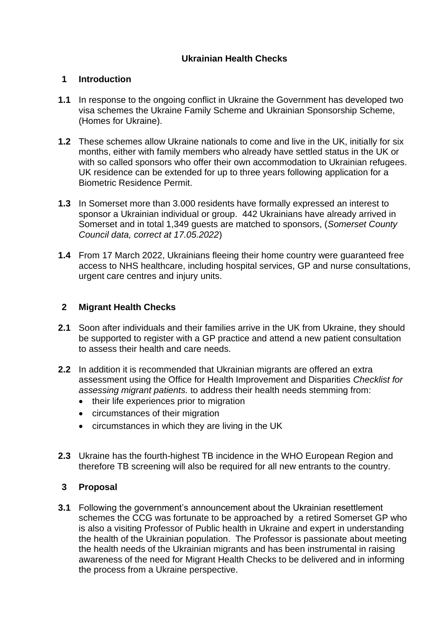# **Ukrainian Health Checks**

## **1 Introduction**

- **1.1** In response to the ongoing conflict in Ukraine the Government has developed two visa schemes the Ukraine Family Scheme and Ukrainian Sponsorship Scheme, (Homes for Ukraine).
- **1.2** These schemes allow Ukraine nationals to come and live in the UK, initially for six months, either with family members who already have settled status in the UK or with so called sponsors who offer their own accommodation to Ukrainian refugees. UK residence can be extended for up to three years following application for a Biometric Residence Permit.
- **1.3** In Somerset more than 3.000 residents have formally expressed an interest to sponsor a Ukrainian individual or group. 442 Ukrainians have already arrived in Somerset and in total 1,349 guests are matched to sponsors, (*Somerset County Council data, correct at 17.05.2022*)
- **1.4** From 17 March 2022, Ukrainians fleeing their home country were guaranteed free access to NHS healthcare, including hospital services, GP and nurse consultations, urgent care centres and injury units.

## **2 Migrant Health Checks**

- **2.1** Soon after individuals and their families arrive in the UK from Ukraine, they should be supported to register with a GP practice and attend a new patient consultation to assess their health and care needs.
- **2.2** In addition it is recommended that Ukrainian migrants are offered an extra assessment using the Office for Health Improvement and Disparities *Checklist for assessing migrant patients.* to address their health needs stemming from:
	- their life experiences prior to migration
	- circumstances of their migration
	- circumstances in which they are living in the UK
- **2.3** Ukraine has the fourth-highest TB incidence in the WHO European Region and therefore TB screening will also be required for all new entrants to the country.

### **3 Proposal**

**3.1** Following the government's announcement about the Ukrainian resettlement schemes the CCG was fortunate to be approached by a retired Somerset GP who is also a visiting Professor of Public health in Ukraine and expert in understanding the health of the Ukrainian population. The Professor is passionate about meeting the health needs of the Ukrainian migrants and has been instrumental in raising awareness of the need for Migrant Health Checks to be delivered and in informing the process from a Ukraine perspective.